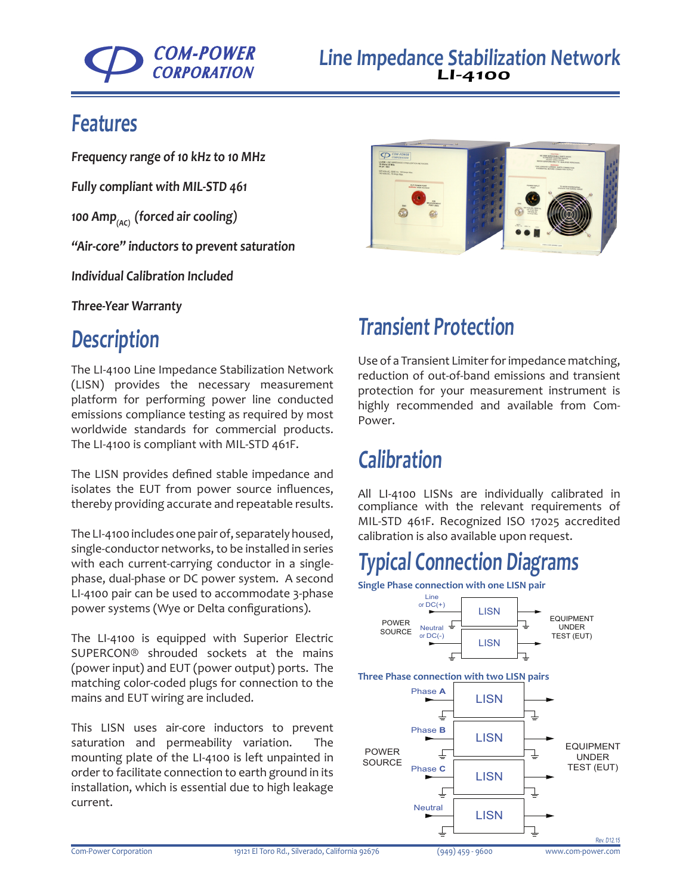

#### **Features**

**Frequency range of 10 kHz to 10 MHz**

**Fully compliant with MIL-STD 461**

**100 Amp(AC) (forced air cooling)**

**"Air-core" inductors to prevent saturation**

**Individual Calibration Included**

**Three-Year Warranty**

## **Description**

The LI-4100 Line Impedance Stabilization Network (LISN) provides the necessary measurement platform for performing power line conducted emissions compliance testing as required by most worldwide standards for commercial products. The LI-4100 is compliant with MIL-STD 461F.

The LISN provides defined stable impedance and isolates the EUT from power source influences, thereby providing accurate and repeatable results.

The LI-4100 includes one pair of, separately housed, single-conductor networks, to be installed in series with each current-carrying conductor in a singlephase, dual-phase or DC power system. A second LI-4100 pair can be used to accommodate 3-phase power systems (Wye or Delta configurations).

The LI-4100 is equipped with Superior Electric SUPERCON® shrouded sockets at the mains (power input) and EUT (power output) ports. The matching color-coded plugs for connection to the mains and EUT wiring are included.

This LISN uses air-core inductors to prevent saturation and permeability variation. The mounting plate of the LI-4100 is left unpainted in order to facilitate connection to earth ground in its installation, which is essential due to high leakage current.



## **Transient Protection**

Use of a [Transient Limiter](http://http://com-power.com/transient_limiters.html) for impedance matching, reduction of out-of-band emissions and transient protection for your measurement instrument is highly recommended and available from Com-Power.

## **Calibration**

All LI-4100 LISNs are individually calibrated in compliance with the relevant requirements of MIL-STD 461F. Recognized ISO 17025 accredited calibration is also available upon request.

# **Typical Connection Diagrams**